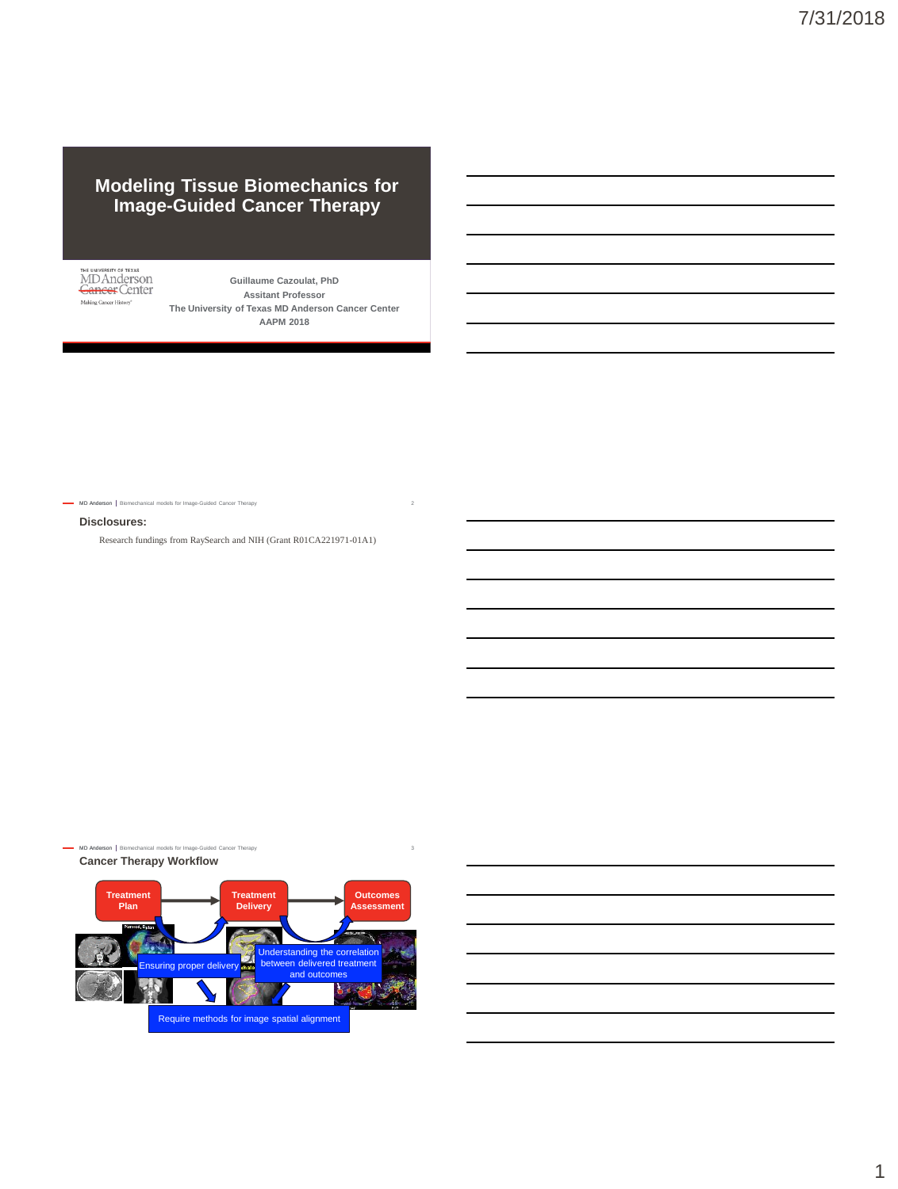## **Modeling Tissue Biomechanics for Image-Guided Cancer Therapy**

THE UNIVERSITY OF TEXAS<br>MD Anderson<br><del>Cancer</del> Center Making Cancer History<sup>®</sup>

**Guillaume Cazoulat, PhD Assitant Professor The University of Texas MD Anderson Cancer Center AAPM 2018**

MD Anderson | Biomechanical models for Image-Guided Cancer Therapy

## **Disclosures:**

Research fundings from RaySearch and NIH (Grant R01CA221971-01A1)

MD Anderson | Bio ical models for In

**Cancer Therapy Workflow**





1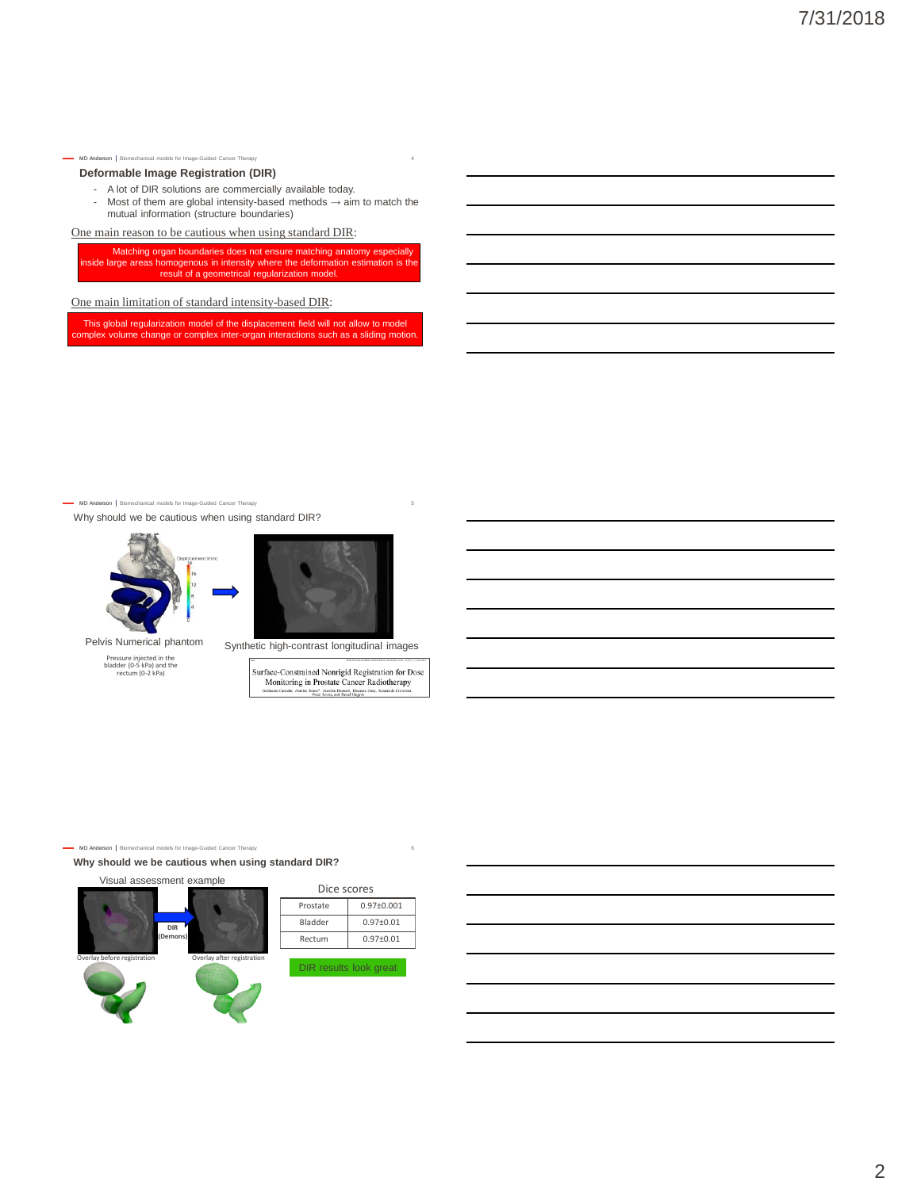## MD Anderson | Biomechanical models for Image-Guided Cancer Therapy **Deformable Image Registration (DIR)**

- A lot of DIR solutions are commercially available today.<br>- Most of them are global intensity-based methods  $\rightarrow$  ain Most of them are global intensity-based methods  $\rightarrow$  aim to match the mutual information (structure boundaries)

One main reason to be cautious when using standard DIR:

Matching organ boundaries does not ensure matching anatomy especially inside large areas homogenous in intensity where the deformation estimation is the result of a geometrical regularization model.

One main limitation of standard intensity-based DIR:

This global regularization model of the displacement field will not allow to model omplex volume change or complex inter-organ interactions such as a sliding motion

MD Anderson | Biomechanical models for Image-Guided Cancer Therapy

Why should we be cautious when using standard DIR?



Pelvis Numerical phantom

Pressure injected in the bladder (0-5 kPa) and the rectum (0-2 kPa)



Synthetic high-contrast longitudinal images

Surface-Constrained Nonrigid Registration for Dose<br>Monitoring in Prostate Cancer Radiotherapy

MD Anderson | Biomechanical models for Image-Guided Cancer Therapy

**Why should we be cautious when using standard DIR?**



| Dice scores |                |  |  |  |  |  |  |
|-------------|----------------|--|--|--|--|--|--|
| Prostate    | $0.97 + 0.001$ |  |  |  |  |  |  |
| Bladder     | $0.97 + 0.01$  |  |  |  |  |  |  |
| Rectum      | $0.97 + 0.01$  |  |  |  |  |  |  |
|             |                |  |  |  |  |  |  |



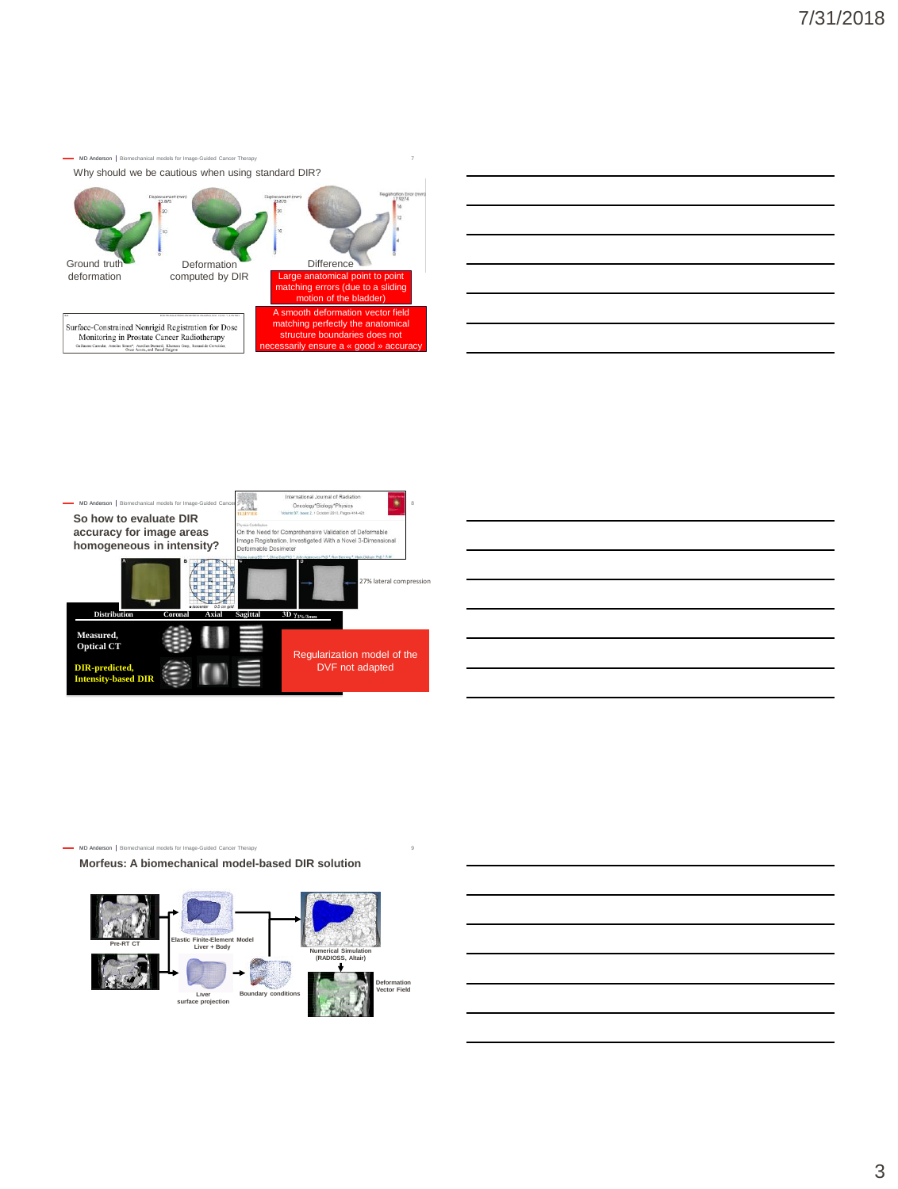MD Anderson | Biomechanical models for Image-Guided Cancer Therapy Why should we be cautious when using standard DIR?









MD Anderson | Biomechanical models for Image-Guide

**Morfeus: A biomechanical model-based DIR solution**

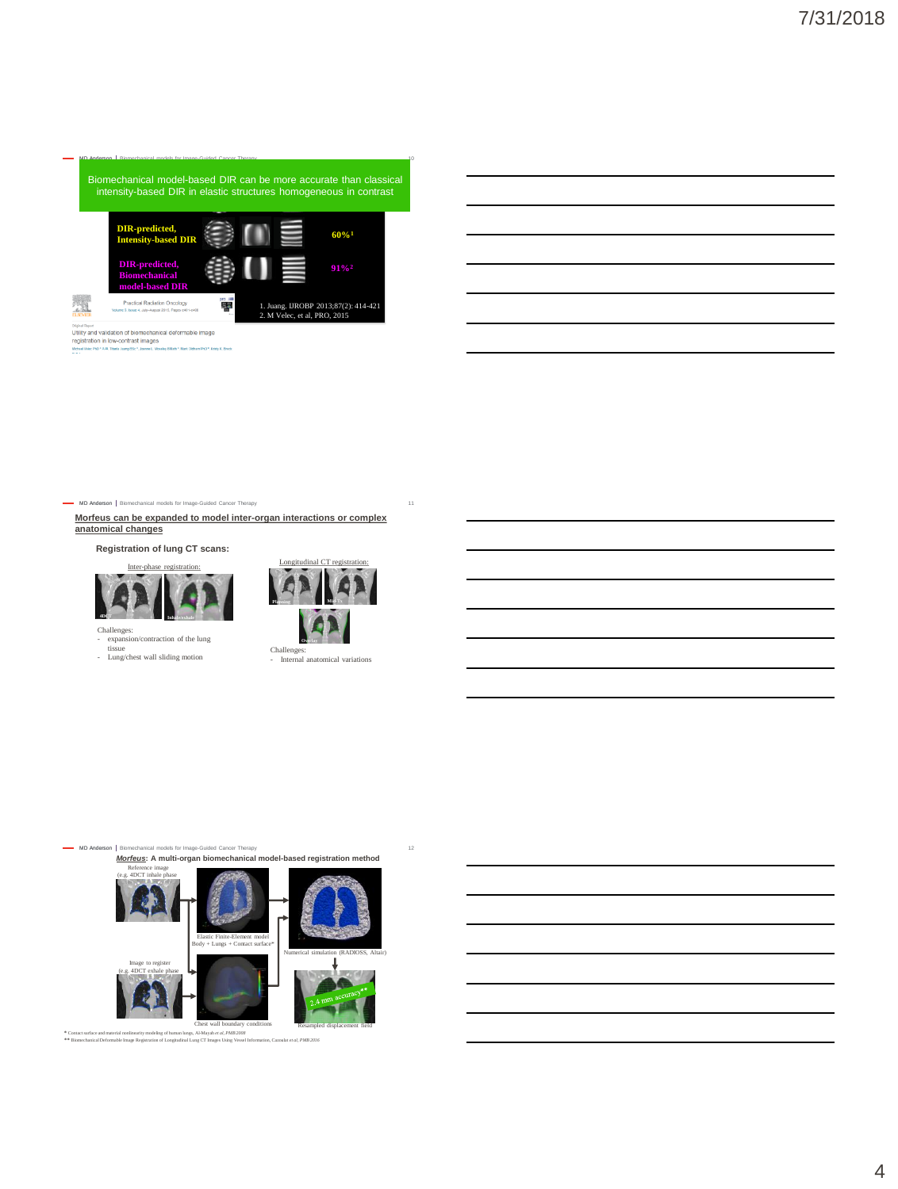MD Anderson Biomechanical models for Image-Guided Cancer Therapy 10 **Distribution Coronal Axial Sagittal 3D γ3%/3mm** sity-based DIR in elastic structures nomogeneous in Biomechanical model-based DIR can be more accurate than classical intensity-based DIR in elastic structures homogeneous in contrast



Olginal Report<br>Utility and validation of biomechanic<br>registration in low-contrast images<br>MidaelVeloCPiO\*A.R. Thesis JusquBSc ?, Juana L. Max al deformable image

MD Anderson | Bio hical models for Image-Guided Cancer Therapy

**Morfeus can be expanded to model inter-organ interactions or complex anatomical changes** 

**Registration of lung CT scans:**





- expansion/contraction of the lung tissue
- Lung/chest wall sliding motion



Challenges: - Internal anatomical variations

MD Anderson | Biomechanical models for Image-Guided Cancer Therapy 12 *Morfeus***: A multi-organ biomechanical model-based registration method**



\* Contact surface and material nonlinearity modeling of human lungs, Al-Mayah et al, PMB 2008<br>\*\* Biomechanical Deformable Image Registration of Longitudinal Lung CT Images Using Vessel Information, Cazoulat et al, PMB 2016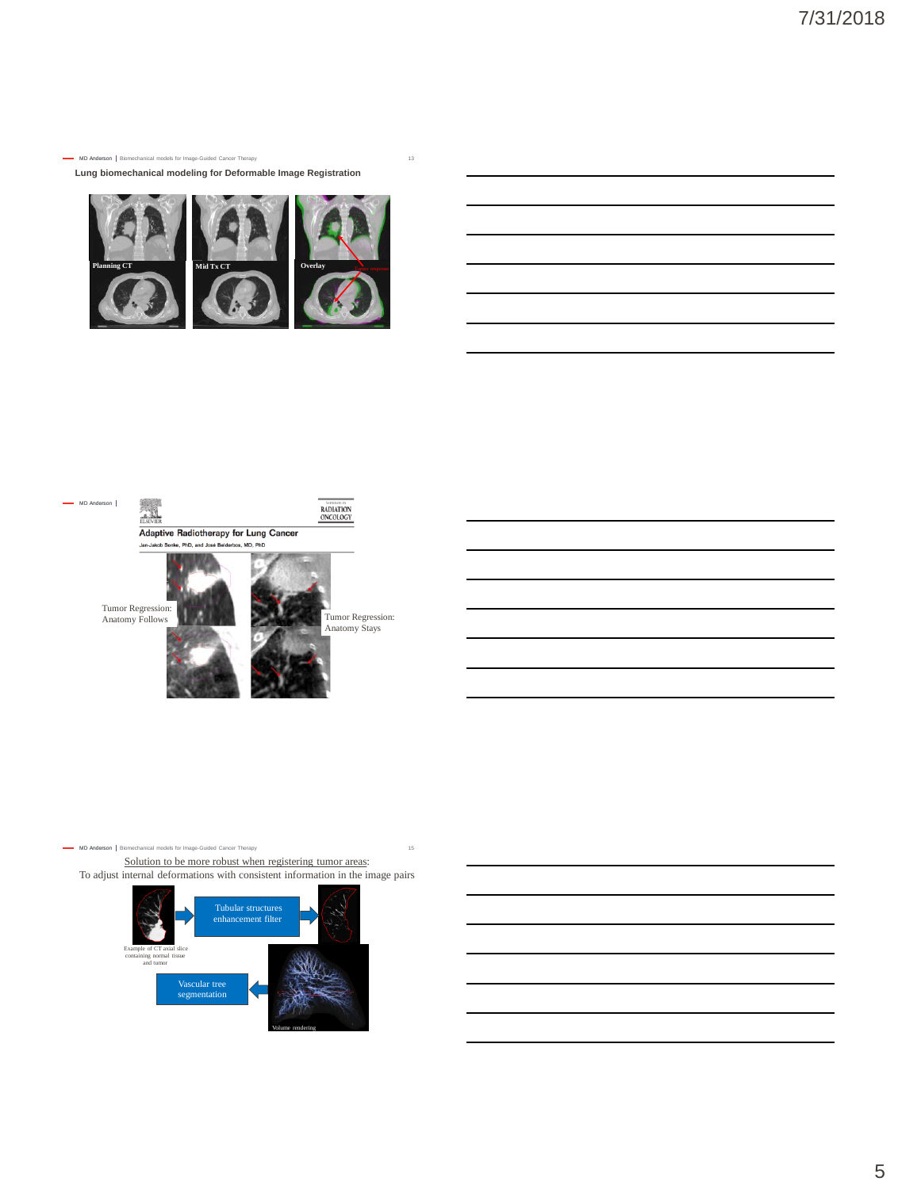

**Planning CT Mid Tx CT Overlay Overlay Tumor response** 

**Lung biomechanical modeling for Deformable Image Registration**

MD Anderson | Biomechanical models for Image-Guided Cancer Therapy

MD Anderson | Biomechanical models for Image-Guided Ca

Solution to be more robust when registering tumor areas: To adjust internal deformations with consistent information in the image pairs

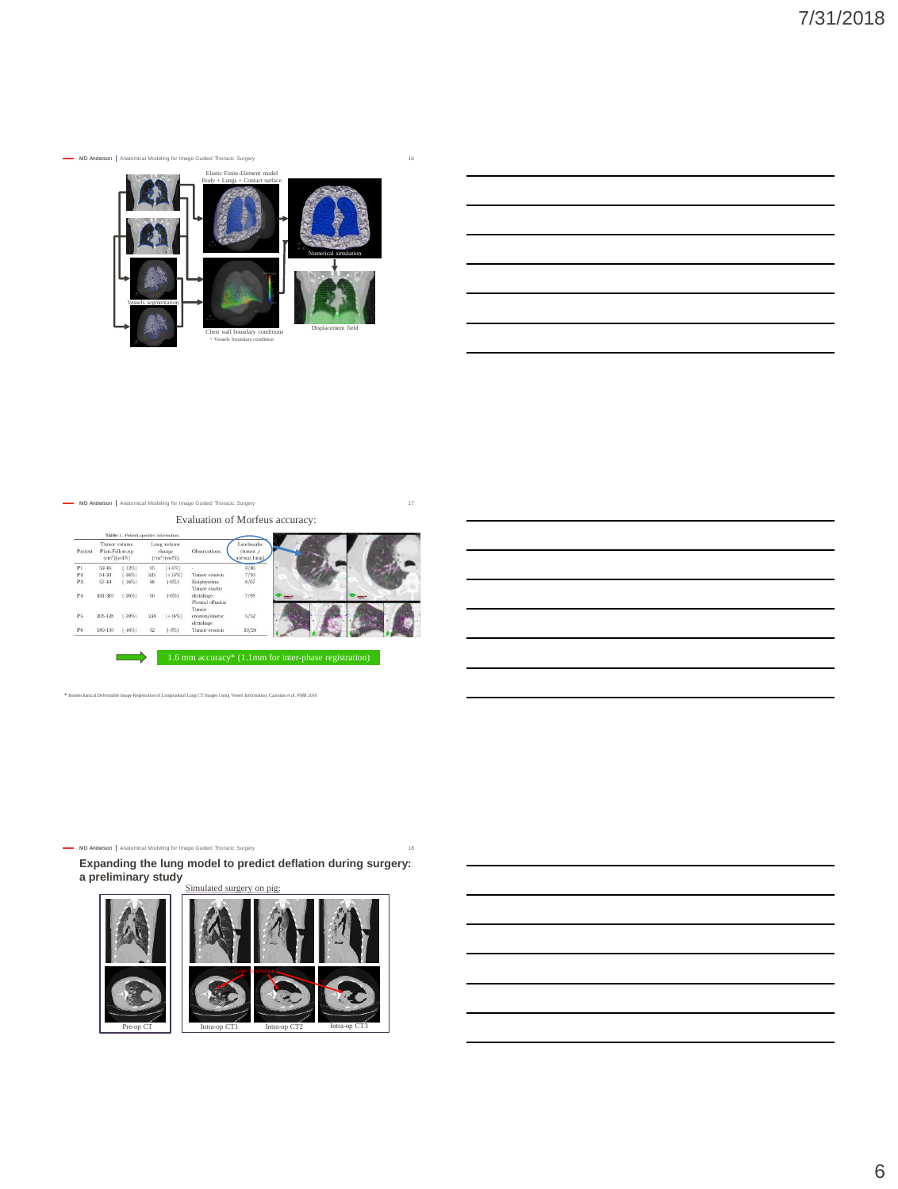MD Anderson | Anatomical Modeling for In



## MD Anderson | Anatomical Modeling for Image Guided Thoracic Surgery

Evaluation of Morfeus accuracy:

| Table 1. Patient-specifics information. |                                                      |           |                                          |          |                                         |                                    | <b>SATISFIED SALE</b> |  |                               |  |
|-----------------------------------------|------------------------------------------------------|-----------|------------------------------------------|----------|-----------------------------------------|------------------------------------|-----------------------|--|-------------------------------|--|
| Patient.                                | Tumor volume<br>Plan-Follow-up<br>${cm}^3$ $(vol\%)$ |           | Lung volume<br>change<br>$(cm^3)(vol\%)$ |          | <b>Observations</b>                     | Landmarks<br>(tumor<br>normal lung |                       |  |                               |  |
| PI                                      | $52 - 46$                                            | $(-12%)$  | 65.                                      | $(+4%)$  |                                         | 3/46                               |                       |  |                               |  |
| P <sub>2</sub>                          | 54-33                                                | (.38%)    | 221                                      | $(+13%)$ | Tumor erosion                           | 7/59                               | э                     |  |                               |  |
| P3                                      | $57 - 44$                                            | (.16%)    | 88                                       | $(-6\%)$ | Emphysema<br>Tumor elastic              | 8/67                               |                       |  |                               |  |
| P <sub>4</sub>                          | 431-319                                              | $(-26\%)$ | 60                                       | $(-6\%)$ | shrinkage:<br>Pleural effusion<br>Tumor | 7/88                               | <b>POINT</b>          |  | <b>The Contract of Street</b> |  |
| P5                                      | 205-128                                              | (.39%)    | 238                                      | $(+16%)$ | erosion/elastic<br>shrinkage            | 5/52                               |                       |  |                               |  |
| P6                                      | 189-103                                              | $(-46%)$  | 32                                       | $(-3\%)$ | Tumor erosion                           | 19/28                              |                       |  |                               |  |

**\*** Biomechanical Deformable Image Registration of Longitudinal Lung CT Images Using Vessel Information, Cazoulat *et al, PMB 2016*

#### MD Anderson | Anatomical Modeling for Image Guided Thoracic Surgery 18

**Expanding the lung model to predict deflation during surgery: a preliminary study**

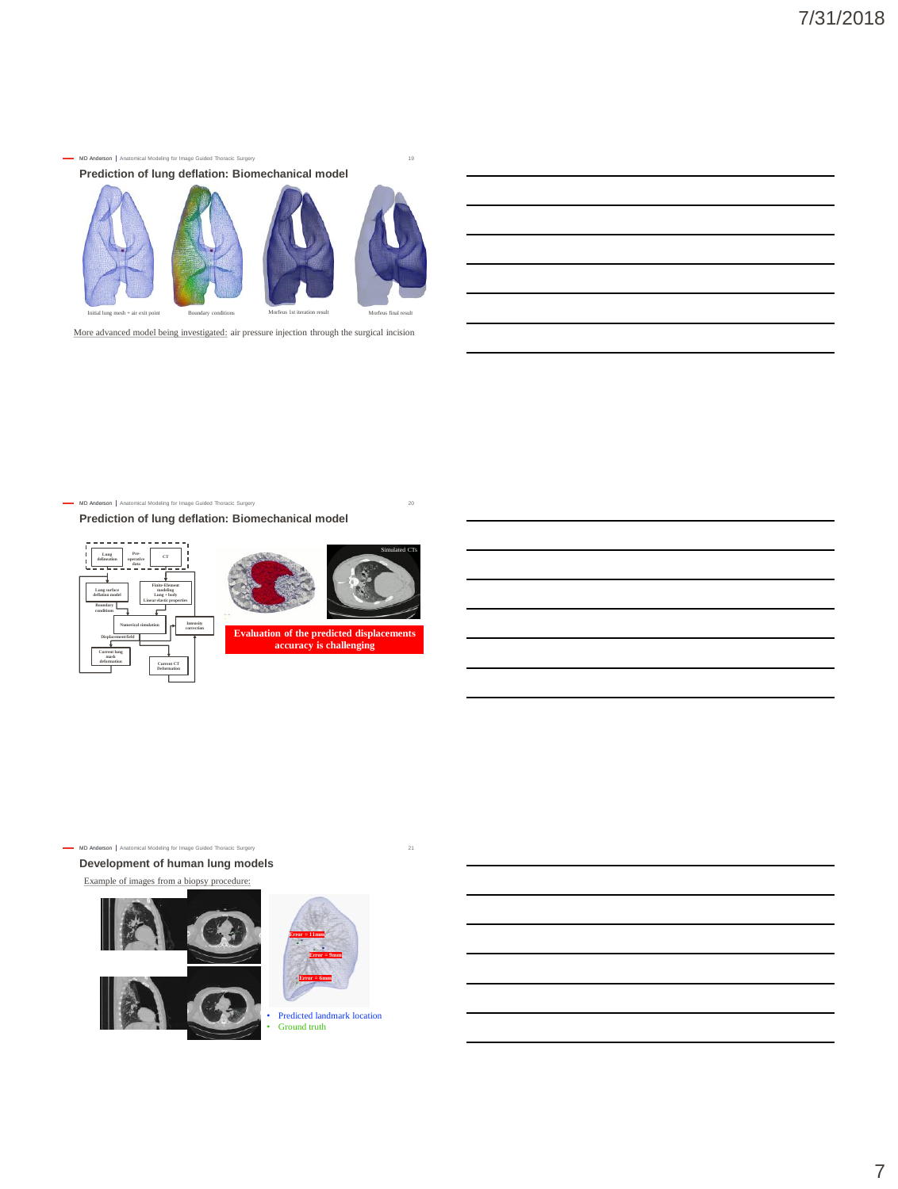

More advanced model being investigated: air pressure injection through the surgical incision

MD Anderson | Anatomical Modeling for Image Guided Thoracic Surgery 20 20

**Prediction of lung deflation: Biomechanical model**





**Evaluation of the predicted displacements accuracy is challenging**

Simulated CTs

MD Anderson | Anatomical Modeling for Image Guided Thoracic Surgery 21 21

**Development of human lung models**

Example of images from a biopsy procedure:





• Predicted landmark location Ground truth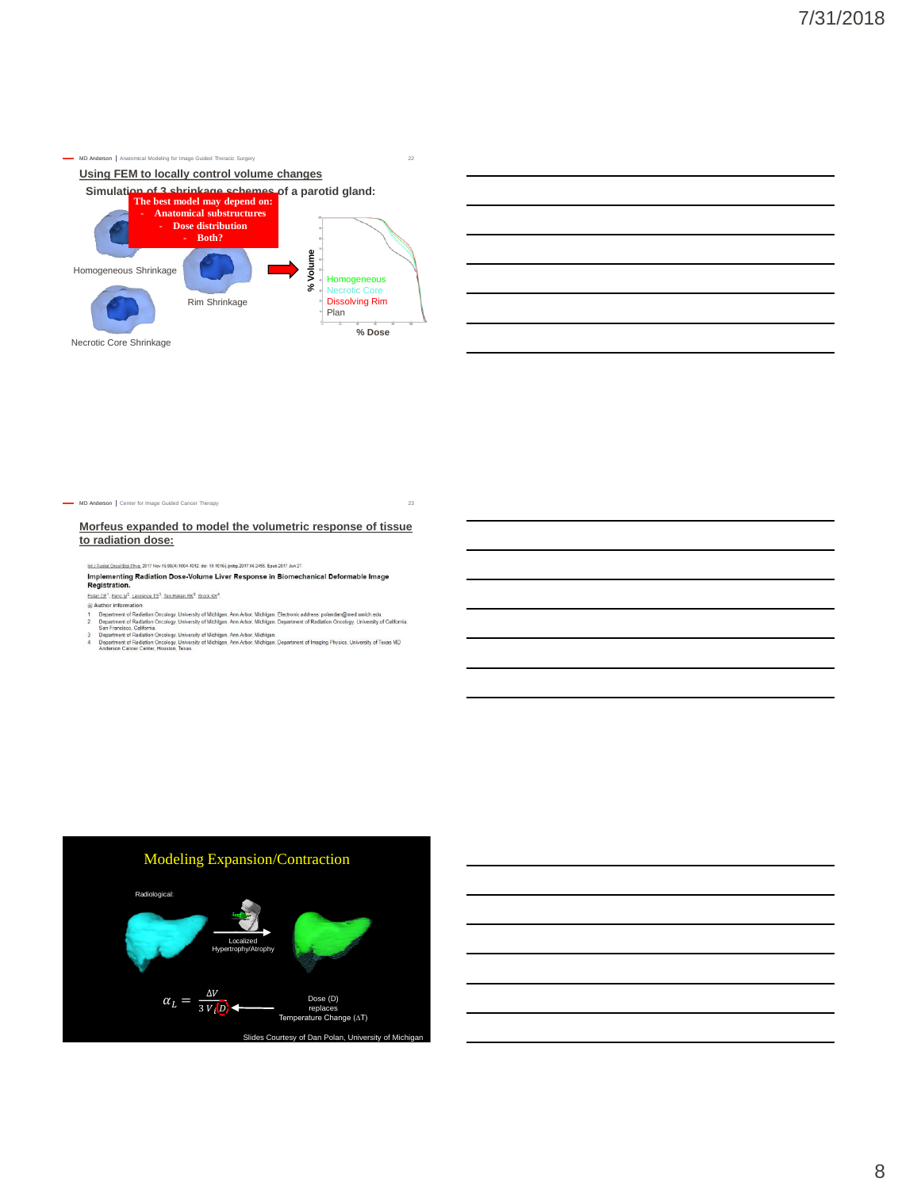



MD Anderson | Center for Image Guided Cancer Therapy 23

**Morfeus expanded to model the volumetric response of tissue to radiation dose:**

Inf.J.Radiat Oncol.Biol.Phys. 2017 Nov 15,99(4):1004-1012. doi: 10.1016 j.jrobp.2017.06.2455. Epub 2017 Jun 27.

<u>են մետն նամեն Թու</u> 3017 ես 15:90,000-1012 ծե 18 016) թեց 3017 8/365 Էթծ 2017 ծո 27.<br>Implementing Radiation Dose-Volume Liver Response in Biomechanical Deformable Image<br>Registration. Polan DF<sup>1</sup>, Feng M<sup>2</sup>, Lawrence TS<sup>3</sup>, Ten Haken RK<sup>3</sup>, Brock KK<sup>4</sup>.

- 
- 
- 
- Patter Liteball". Literature. 13", Jan.Hassa.Basy.Bass.RaS.<br>
3) Author information (Aradiation Orcology, University of Michigan, Ann Arbor, Michigan. Electronic address polandan@med.umich.edu.<br>
2) Oepartment of Radiation O